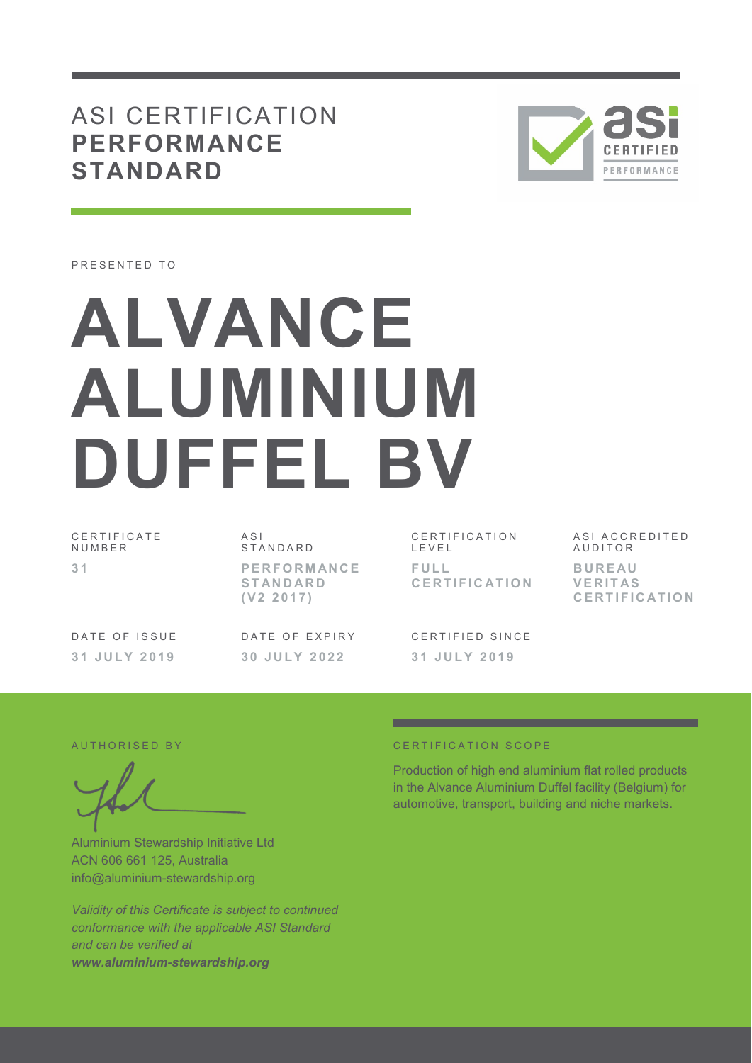## ASI CERTIFICATION **PERFORMANCE STANDARD**



PRESENTED TO

# **ALVANCE ALUMINIUM DUFFEL BV**

C E R T I F I C A T E **NUMBER 3 1** 

 $A S I$ **STANDARD P E R F O R M AN C E S T AN D AR D ( V 2 2 0 1 7 )** 

CERTIFICATION L E V E L **F U L L C E R T I F I C AT I O N** 

C F R T I F I F D S I N C F **3 1 J U L Y 2 0 1 9** 

ASI ACCREDITED **AUDITOR B U R E AU V E R I T AS C E R T I F I C AT I O N**

DATE OF ISSUE **3 1 J U L Y 2 0 1 9** 

DATE OF EXPIRY **3 0 J U L Y 2 0 2 2** 

Aluminium Stewardship Initiative Ltd ACN 606 661 125, Australia info@aluminium-stewardship.org

*Validity of this Certificate is subject to continued conformance with the applicable ASI Standard and can be verified at www.aluminium-stewardship.org*

#### A U T HORISED BY CERTIFICATION SCOPE

Production of high end aluminium flat rolled products in the Alvance Aluminium Duffel facility (Belgium) for automotive, transport, building and niche markets.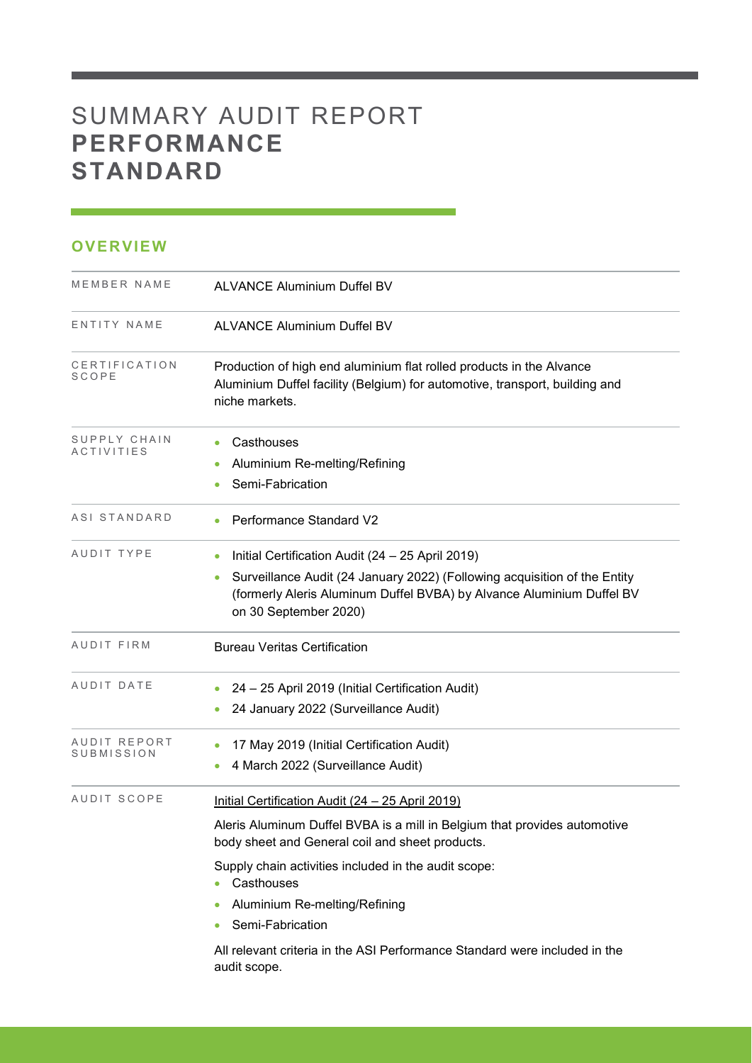## SUMMARY AUDIT REPORT **PERFORMANCE STANDARD**

### **OVERVIEW**

| MEMBER NAME                       | <b>ALVANCE Aluminium Duffel BV</b>                                                                                                                                                                                                                                                      |  |  |
|-----------------------------------|-----------------------------------------------------------------------------------------------------------------------------------------------------------------------------------------------------------------------------------------------------------------------------------------|--|--|
| ENTITY NAME                       | <b>ALVANCE Aluminium Duffel BV</b>                                                                                                                                                                                                                                                      |  |  |
| CERTIFICATION<br>SCOPE            | Production of high end aluminium flat rolled products in the Alvance<br>Aluminium Duffel facility (Belgium) for automotive, transport, building and<br>niche markets.                                                                                                                   |  |  |
| SUPPLY CHAIN<br><b>ACTIVITIES</b> | Casthouses<br>Aluminium Re-melting/Refining<br>$\bullet$<br>Semi-Fabrication                                                                                                                                                                                                            |  |  |
| ASI STANDARD                      | Performance Standard V2                                                                                                                                                                                                                                                                 |  |  |
| AUDIT TYPE                        | Initial Certification Audit (24 - 25 April 2019)<br>Surveillance Audit (24 January 2022) (Following acquisition of the Entity<br>$\bullet$<br>(formerly Aleris Aluminum Duffel BVBA) by Alvance Aluminium Duffel BV<br>on 30 September 2020)                                            |  |  |
| AUDIT FIRM                        | <b>Bureau Veritas Certification</b>                                                                                                                                                                                                                                                     |  |  |
| AUDIT DATE                        | 24 - 25 April 2019 (Initial Certification Audit)<br>24 January 2022 (Surveillance Audit)                                                                                                                                                                                                |  |  |
| AUDIT REPORT<br>SUBMISSION        | 17 May 2019 (Initial Certification Audit)<br>4 March 2022 (Surveillance Audit)                                                                                                                                                                                                          |  |  |
| AUDIT SCOPE                       | Initial Certification Audit (24 - 25 April 2019)<br>Aleris Aluminum Duffel BVBA is a mill in Belgium that provides automotive<br>body sheet and General coil and sheet products.<br>Supply chain activities included in the audit scope:<br>Casthouses<br>Aluminium Re-melting/Refining |  |  |
|                                   | Semi-Fabrication<br>All relevant criteria in the ASI Performance Standard were included in the<br>audit scope.                                                                                                                                                                          |  |  |

and the control of the control of the control of the control of the control of the control of the control of the control of the control of the control of the control of the control of the control of the control of the cont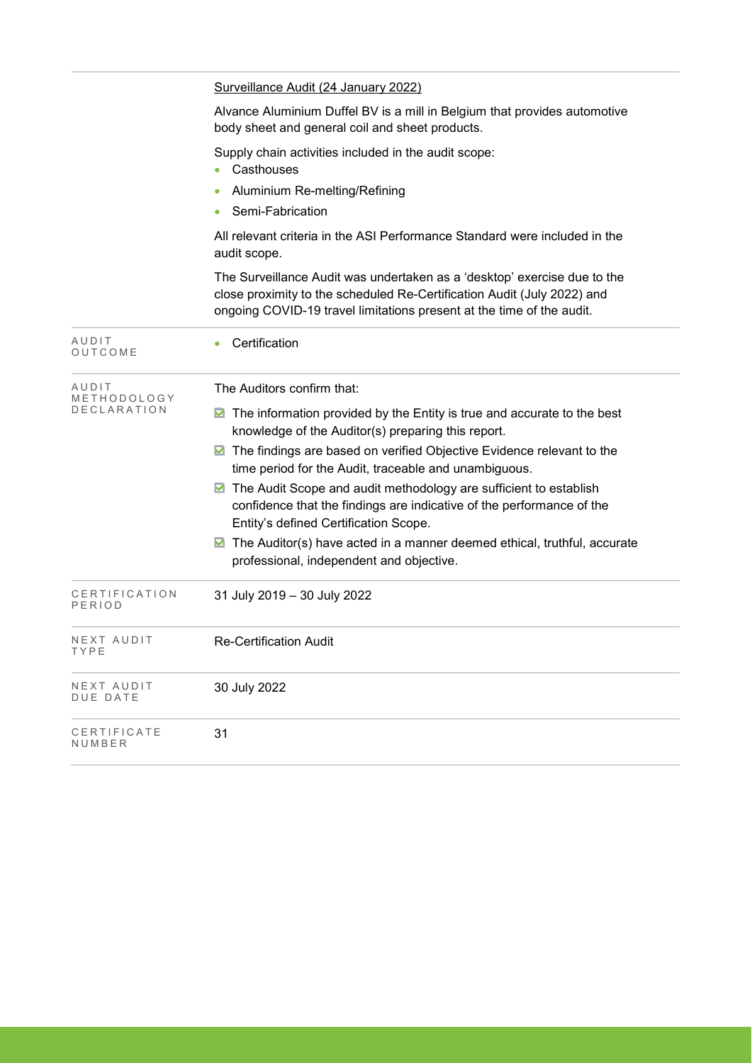|                                     | Surveillance Audit (24 January 2022)                                                                                                                                                                                         |  |  |  |  |  |
|-------------------------------------|------------------------------------------------------------------------------------------------------------------------------------------------------------------------------------------------------------------------------|--|--|--|--|--|
|                                     | Alvance Aluminium Duffel BV is a mill in Belgium that provides automotive<br>body sheet and general coil and sheet products.                                                                                                 |  |  |  |  |  |
|                                     | Supply chain activities included in the audit scope:<br>Casthouses                                                                                                                                                           |  |  |  |  |  |
|                                     | Aluminium Re-melting/Refining                                                                                                                                                                                                |  |  |  |  |  |
|                                     | Semi-Fabrication                                                                                                                                                                                                             |  |  |  |  |  |
|                                     | All relevant criteria in the ASI Performance Standard were included in the<br>audit scope.                                                                                                                                   |  |  |  |  |  |
|                                     | The Surveillance Audit was undertaken as a 'desktop' exercise due to the<br>close proximity to the scheduled Re-Certification Audit (July 2022) and<br>ongoing COVID-19 travel limitations present at the time of the audit. |  |  |  |  |  |
| AUDIT<br>OUTCOME                    | Certification                                                                                                                                                                                                                |  |  |  |  |  |
| AUDIT<br>METHODOLOGY<br>DECLARATION | The Auditors confirm that:                                                                                                                                                                                                   |  |  |  |  |  |
|                                     | The information provided by the Entity is true and accurate to the best<br>M<br>knowledge of the Auditor(s) preparing this report.                                                                                           |  |  |  |  |  |
|                                     | ■ The findings are based on verified Objective Evidence relevant to the<br>time period for the Audit, traceable and unambiguous.                                                                                             |  |  |  |  |  |
|                                     | The Audit Scope and audit methodology are sufficient to establish<br>confidence that the findings are indicative of the performance of the<br>Entity's defined Certification Scope.                                          |  |  |  |  |  |
|                                     | The Auditor(s) have acted in a manner deemed ethical, truthful, accurate<br>M<br>professional, independent and objective.                                                                                                    |  |  |  |  |  |
| CERTIFICATION<br>PERIOD             | 31 July 2019 - 30 July 2022                                                                                                                                                                                                  |  |  |  |  |  |
| NEXT AUDIT<br>TYPE                  | <b>Re-Certification Audit</b>                                                                                                                                                                                                |  |  |  |  |  |
| NEXT AUDIT<br><b>DUE DATE</b>       | 30 July 2022                                                                                                                                                                                                                 |  |  |  |  |  |
| CERTIFICATE<br>NUMBER               | 31                                                                                                                                                                                                                           |  |  |  |  |  |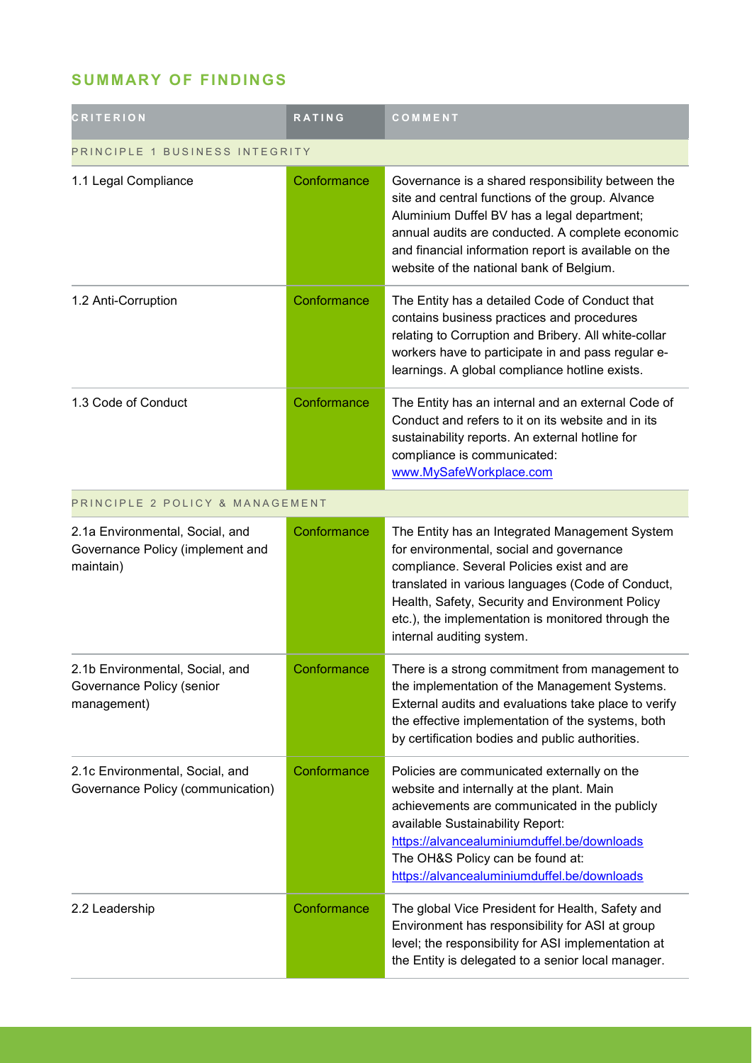## **SUMMARY OF FINDINGS**

| <b>CRITERION</b>                                                                 | <b>RATING</b> | COMMENT                                                                                                                                                                                                                                                                                                                             |  |
|----------------------------------------------------------------------------------|---------------|-------------------------------------------------------------------------------------------------------------------------------------------------------------------------------------------------------------------------------------------------------------------------------------------------------------------------------------|--|
| PRINCIPLE 1 BUSINESS INTEGRITY                                                   |               |                                                                                                                                                                                                                                                                                                                                     |  |
| 1.1 Legal Compliance                                                             | Conformance   | Governance is a shared responsibility between the<br>site and central functions of the group. Alvance<br>Aluminium Duffel BV has a legal department;<br>annual audits are conducted. A complete economic<br>and financial information report is available on the<br>website of the national bank of Belgium.                        |  |
| 1.2 Anti-Corruption                                                              | Conformance   | The Entity has a detailed Code of Conduct that<br>contains business practices and procedures<br>relating to Corruption and Bribery. All white-collar<br>workers have to participate in and pass regular e-<br>learnings. A global compliance hotline exists.                                                                        |  |
| 1.3 Code of Conduct                                                              | Conformance   | The Entity has an internal and an external Code of<br>Conduct and refers to it on its website and in its<br>sustainability reports. An external hotline for<br>compliance is communicated:<br>www.MySafeWorkplace.com                                                                                                               |  |
| PRINCIPLE 2 POLICY & MANAGEMENT                                                  |               |                                                                                                                                                                                                                                                                                                                                     |  |
| 2.1a Environmental, Social, and<br>Governance Policy (implement and<br>maintain) | Conformance   | The Entity has an Integrated Management System<br>for environmental, social and governance<br>compliance. Several Policies exist and are<br>translated in various languages (Code of Conduct,<br>Health, Safety, Security and Environment Policy<br>etc.), the implementation is monitored through the<br>internal auditing system. |  |
| 2.1b Environmental, Social, and<br>Governance Policy (senior<br>management)      | Conformance   | There is a strong commitment from management to<br>the implementation of the Management Systems.<br>External audits and evaluations take place to verify<br>the effective implementation of the systems, both<br>by certification bodies and public authorities.                                                                    |  |
| 2.1c Environmental, Social, and<br>Governance Policy (communication)             | Conformance   | Policies are communicated externally on the<br>website and internally at the plant. Main<br>achievements are communicated in the publicly<br>available Sustainability Report:<br>https://alvancealuminiumduffel.be/downloads<br>The OH&S Policy can be found at:<br>https://alvancealuminiumduffel.be/downloads                     |  |
| 2.2 Leadership                                                                   | Conformance   | The global Vice President for Health, Safety and<br>Environment has responsibility for ASI at group<br>level; the responsibility for ASI implementation at<br>the Entity is delegated to a senior local manager.                                                                                                                    |  |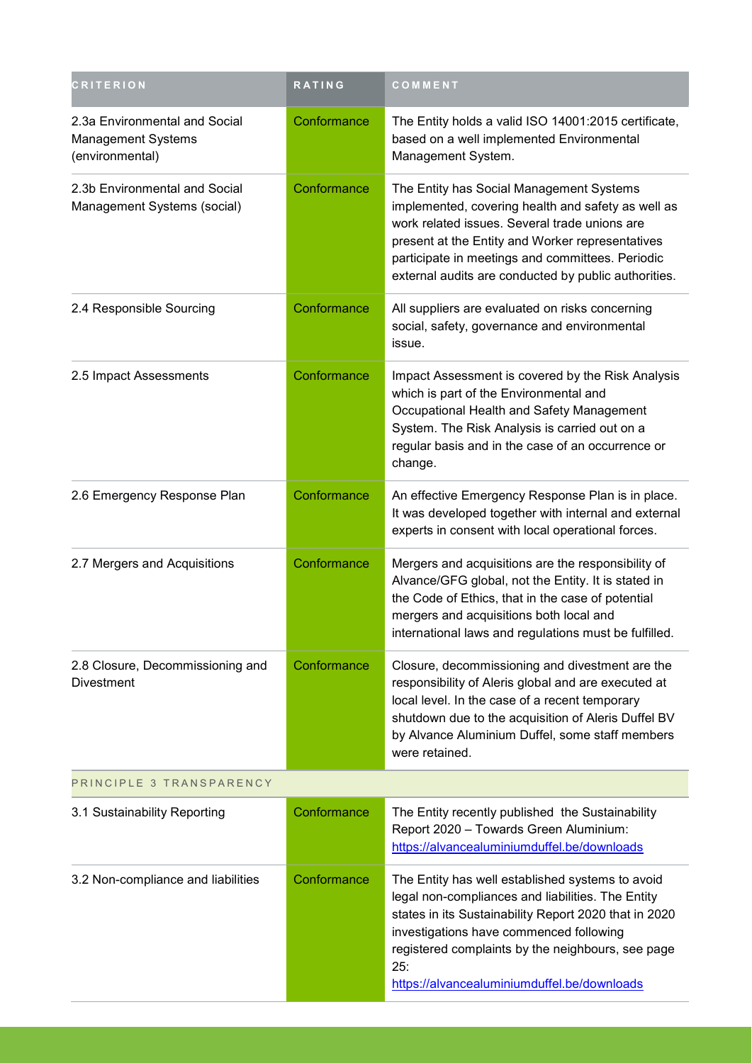| <b>CRITERION</b>                                                       | <b>RATING</b> | COMMENT                                                                                                                                                                                                                                                                                                              |  |
|------------------------------------------------------------------------|---------------|----------------------------------------------------------------------------------------------------------------------------------------------------------------------------------------------------------------------------------------------------------------------------------------------------------------------|--|
| 2.3a Environmental and Social<br>Management Systems<br>(environmental) | Conformance   | The Entity holds a valid ISO 14001:2015 certificate,<br>based on a well implemented Environmental<br>Management System.                                                                                                                                                                                              |  |
| 2.3b Environmental and Social<br>Management Systems (social)           | Conformance   | The Entity has Social Management Systems<br>implemented, covering health and safety as well as<br>work related issues. Several trade unions are<br>present at the Entity and Worker representatives<br>participate in meetings and committees. Periodic<br>external audits are conducted by public authorities.      |  |
| 2.4 Responsible Sourcing                                               | Conformance   | All suppliers are evaluated on risks concerning<br>social, safety, governance and environmental<br>issue.                                                                                                                                                                                                            |  |
| 2.5 Impact Assessments                                                 | Conformance   | Impact Assessment is covered by the Risk Analysis<br>which is part of the Environmental and<br>Occupational Health and Safety Management<br>System. The Risk Analysis is carried out on a<br>regular basis and in the case of an occurrence or<br>change.                                                            |  |
| 2.6 Emergency Response Plan                                            | Conformance   | An effective Emergency Response Plan is in place.<br>It was developed together with internal and external<br>experts in consent with local operational forces.                                                                                                                                                       |  |
| 2.7 Mergers and Acquisitions                                           | Conformance   | Mergers and acquisitions are the responsibility of<br>Alvance/GFG global, not the Entity. It is stated in<br>the Code of Ethics, that in the case of potential<br>mergers and acquisitions both local and<br>international laws and regulations must be fulfilled.                                                   |  |
| 2.8 Closure, Decommissioning and<br><b>Divestment</b>                  | Conformance   | Closure, decommissioning and divestment are the<br>responsibility of Aleris global and are executed at<br>local level. In the case of a recent temporary<br>shutdown due to the acquisition of Aleris Duffel BV<br>by Alvance Aluminium Duffel, some staff members<br>were retained.                                 |  |
| PRINCIPLE 3 TRANSPARENCY                                               |               |                                                                                                                                                                                                                                                                                                                      |  |
| 3.1 Sustainability Reporting                                           | Conformance   | The Entity recently published the Sustainability<br>Report 2020 - Towards Green Aluminium:<br>https://alvancealuminiumduffel.be/downloads                                                                                                                                                                            |  |
| 3.2 Non-compliance and liabilities                                     | Conformance   | The Entity has well established systems to avoid<br>legal non-compliances and liabilities. The Entity<br>states in its Sustainability Report 2020 that in 2020<br>investigations have commenced following<br>registered complaints by the neighbours, see page<br>25:<br>https://alvancealuminiumduffel.be/downloads |  |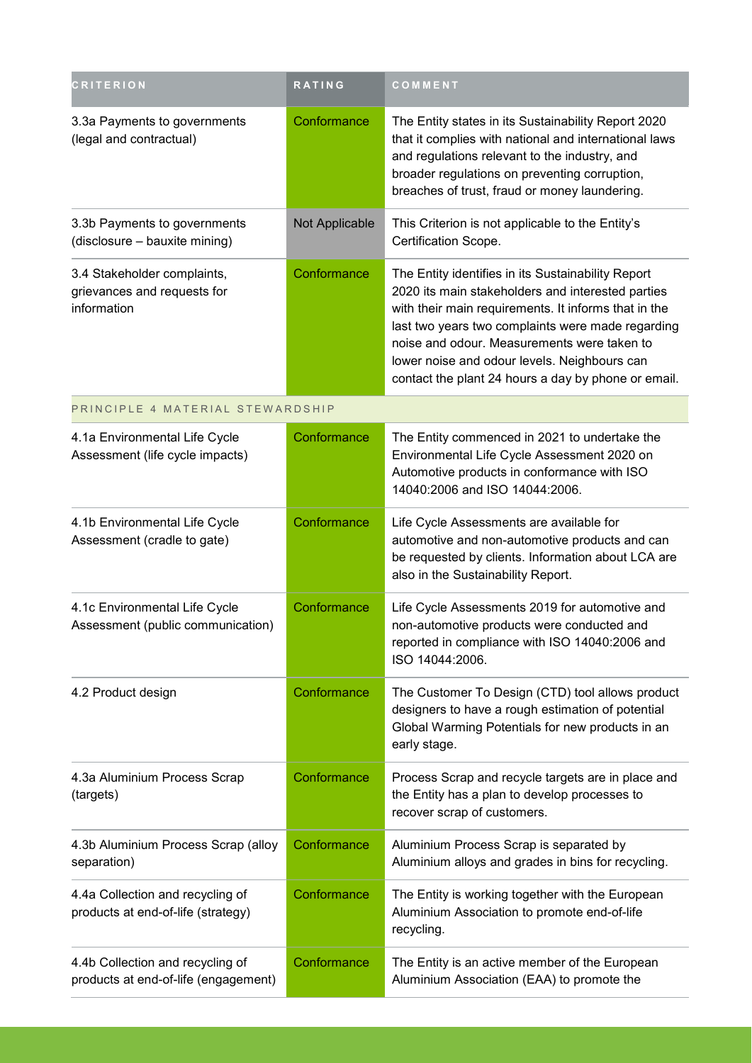| <b>CRITERION</b>                                                          | <b>RATING</b>  | COMMENT                                                                                                                                                                                                                                                                                                                                                                    |
|---------------------------------------------------------------------------|----------------|----------------------------------------------------------------------------------------------------------------------------------------------------------------------------------------------------------------------------------------------------------------------------------------------------------------------------------------------------------------------------|
| 3.3a Payments to governments<br>(legal and contractual)                   | Conformance    | The Entity states in its Sustainability Report 2020<br>that it complies with national and international laws<br>and regulations relevant to the industry, and<br>broader regulations on preventing corruption,<br>breaches of trust, fraud or money laundering.                                                                                                            |
| 3.3b Payments to governments<br>(disclosure - bauxite mining)             | Not Applicable | This Criterion is not applicable to the Entity's<br>Certification Scope.                                                                                                                                                                                                                                                                                                   |
| 3.4 Stakeholder complaints,<br>grievances and requests for<br>information | Conformance    | The Entity identifies in its Sustainability Report<br>2020 its main stakeholders and interested parties<br>with their main requirements. It informs that in the<br>last two years two complaints were made regarding<br>noise and odour. Measurements were taken to<br>lower noise and odour levels. Neighbours can<br>contact the plant 24 hours a day by phone or email. |
| PRINCIPLE 4 MATERIAL STEWARDSHIP                                          |                |                                                                                                                                                                                                                                                                                                                                                                            |
| 4.1a Environmental Life Cycle<br>Assessment (life cycle impacts)          | Conformance    | The Entity commenced in 2021 to undertake the<br>Environmental Life Cycle Assessment 2020 on<br>Automotive products in conformance with ISO<br>14040:2006 and ISO 14044:2006.                                                                                                                                                                                              |
| 4.1b Environmental Life Cycle<br>Assessment (cradle to gate)              | Conformance    | Life Cycle Assessments are available for<br>automotive and non-automotive products and can<br>be requested by clients. Information about LCA are<br>also in the Sustainability Report.                                                                                                                                                                                     |
| 4.1c Environmental Life Cycle<br>Assessment (public communication)        | Conformance    | Life Cycle Assessments 2019 for automotive and<br>non-automotive products were conducted and<br>reported in compliance with ISO 14040:2006 and<br>ISO 14044:2006.                                                                                                                                                                                                          |
| 4.2 Product design                                                        | Conformance    | The Customer To Design (CTD) tool allows product<br>designers to have a rough estimation of potential<br>Global Warming Potentials for new products in an<br>early stage.                                                                                                                                                                                                  |
| 4.3a Aluminium Process Scrap<br>(targets)                                 | Conformance    | Process Scrap and recycle targets are in place and<br>the Entity has a plan to develop processes to<br>recover scrap of customers.                                                                                                                                                                                                                                         |
| 4.3b Aluminium Process Scrap (alloy<br>separation)                        | Conformance    | Aluminium Process Scrap is separated by<br>Aluminium alloys and grades in bins for recycling.                                                                                                                                                                                                                                                                              |
| 4.4a Collection and recycling of<br>products at end-of-life (strategy)    | Conformance    | The Entity is working together with the European<br>Aluminium Association to promote end-of-life<br>recycling.                                                                                                                                                                                                                                                             |
| 4.4b Collection and recycling of<br>products at end-of-life (engagement)  | Conformance    | The Entity is an active member of the European<br>Aluminium Association (EAA) to promote the                                                                                                                                                                                                                                                                               |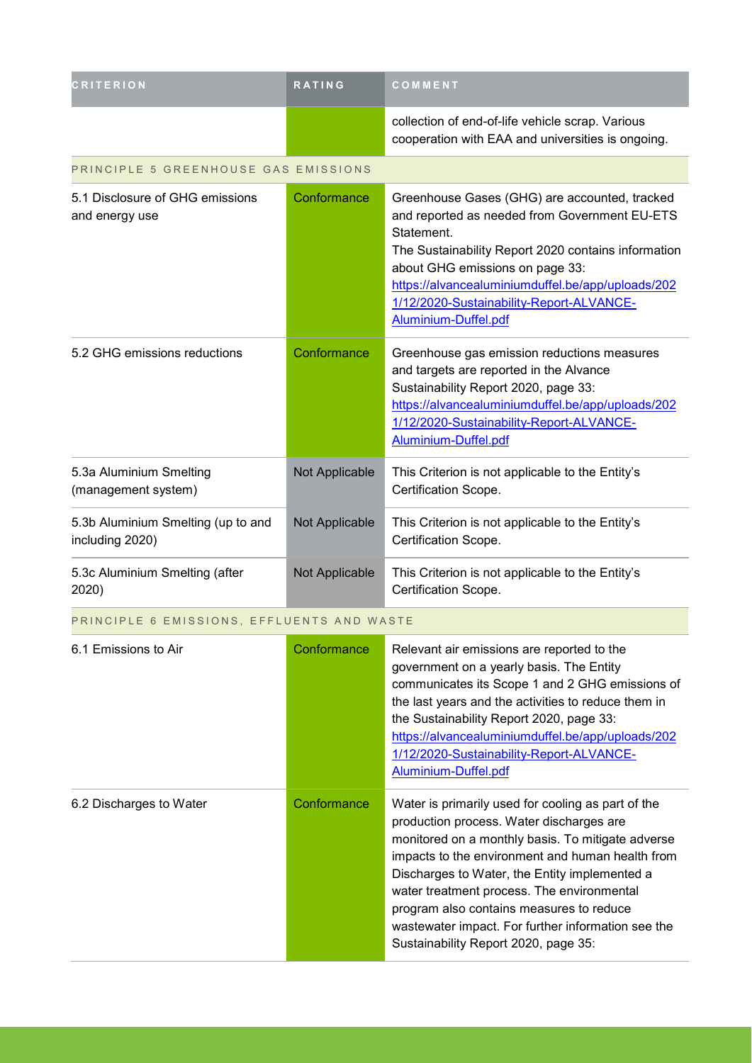| <b>CRITERION</b>                                      | RATING         | COMMENT                                                                                                                                                                                                                                                                                                                                                               |  |
|-------------------------------------------------------|----------------|-----------------------------------------------------------------------------------------------------------------------------------------------------------------------------------------------------------------------------------------------------------------------------------------------------------------------------------------------------------------------|--|
|                                                       |                | collection of end-of-life vehicle scrap. Various<br>cooperation with EAA and universities is ongoing.                                                                                                                                                                                                                                                                 |  |
| PRINCIPLE 5 GREENHOUSE GAS EMISSIONS                  |                |                                                                                                                                                                                                                                                                                                                                                                       |  |
| 5.1 Disclosure of GHG emissions<br>and energy use     | Conformance    | Greenhouse Gases (GHG) are accounted, tracked<br>and reported as needed from Government EU-ETS<br>Statement.<br>The Sustainability Report 2020 contains information<br>about GHG emissions on page 33:<br>https://alvancealuminiumduffel.be/app/uploads/202<br>1/12/2020-Sustainability-Report-ALVANCE-<br>Aluminium-Duffel.pdf                                       |  |
| 5.2 GHG emissions reductions                          | Conformance    | Greenhouse gas emission reductions measures<br>and targets are reported in the Alvance<br>Sustainability Report 2020, page 33:<br>https://alvancealuminiumduffel.be/app/uploads/202<br>1/12/2020-Sustainability-Report-ALVANCE-<br>Aluminium-Duffel.pdf                                                                                                               |  |
| 5.3a Aluminium Smelting<br>(management system)        | Not Applicable | This Criterion is not applicable to the Entity's<br>Certification Scope.                                                                                                                                                                                                                                                                                              |  |
| 5.3b Aluminium Smelting (up to and<br>including 2020) | Not Applicable | This Criterion is not applicable to the Entity's<br>Certification Scope.                                                                                                                                                                                                                                                                                              |  |
| 5.3c Aluminium Smelting (after<br>2020)               | Not Applicable | This Criterion is not applicable to the Entity's<br>Certification Scope.                                                                                                                                                                                                                                                                                              |  |
| PRINCIPLE 6 EMISSIONS, EFFLUENTS AND WASTE            |                |                                                                                                                                                                                                                                                                                                                                                                       |  |
| 6.1 Emissions to Air                                  | Conformance    | Relevant air emissions are reported to the<br>government on a yearly basis. The Entity<br>communicates its Scope 1 and 2 GHG emissions of<br>the last years and the activities to reduce them in<br>the Sustainability Report 2020, page 33:<br>https://alvancealuminiumduffel.be/app/uploads/202<br>1/12/2020-Sustainability-Report-ALVANCE-<br>Aluminium-Duffel.pdf |  |
| 6.2 Discharges to Water                               | Conformance    | Water is primarily used for cooling as part of the<br>production process. Water discharges are<br>monitored on a monthly basis. To mitigate adverse<br>impacts to the environment and human health from<br>Discharges to Water, the Entity implemented a<br>water treatment process. The environmental<br>program also contains measures to reduce                    |  |

wastewater impact. For further information see the

Sustainability Report 2020, page 35: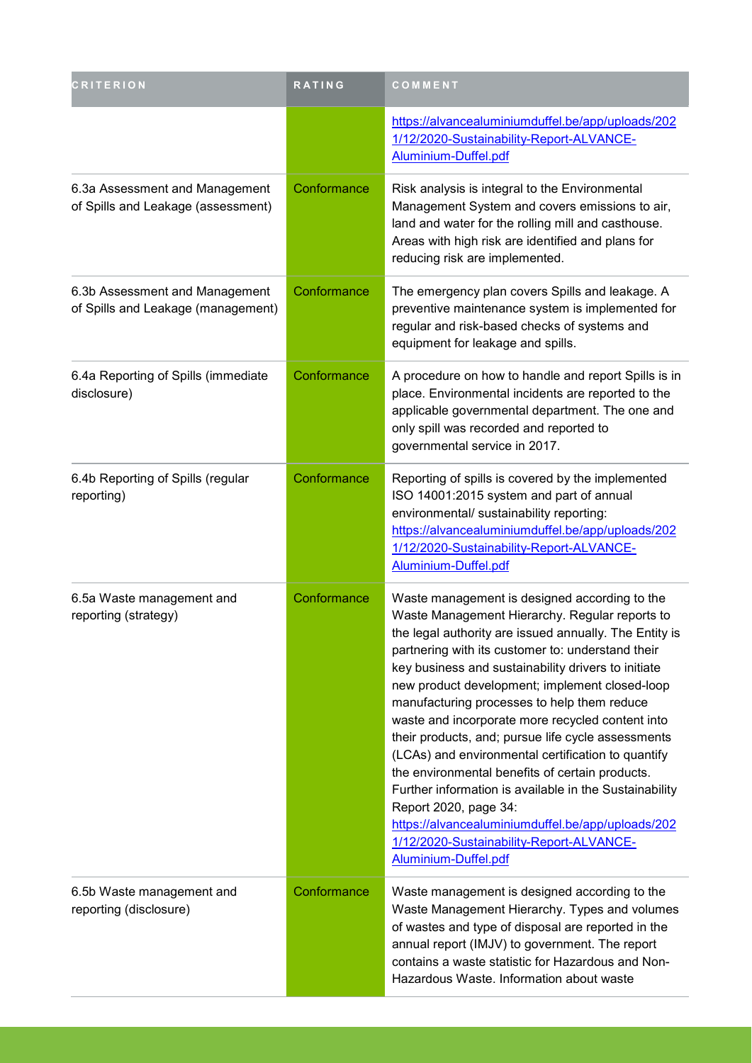| <b>CRITERION</b>                                                     | RATING      | COMMENT                                                                                                                                                                                                                                                                                                                                                                                                                                                                                                                                                                                                                                                                                                                                                                                               |
|----------------------------------------------------------------------|-------------|-------------------------------------------------------------------------------------------------------------------------------------------------------------------------------------------------------------------------------------------------------------------------------------------------------------------------------------------------------------------------------------------------------------------------------------------------------------------------------------------------------------------------------------------------------------------------------------------------------------------------------------------------------------------------------------------------------------------------------------------------------------------------------------------------------|
|                                                                      |             | https://alvancealuminiumduffel.be/app/uploads/202<br>1/12/2020-Sustainability-Report-ALVANCE-<br>Aluminium-Duffel.pdf                                                                                                                                                                                                                                                                                                                                                                                                                                                                                                                                                                                                                                                                                 |
| 6.3a Assessment and Management<br>of Spills and Leakage (assessment) | Conformance | Risk analysis is integral to the Environmental<br>Management System and covers emissions to air,<br>land and water for the rolling mill and casthouse.<br>Areas with high risk are identified and plans for<br>reducing risk are implemented.                                                                                                                                                                                                                                                                                                                                                                                                                                                                                                                                                         |
| 6.3b Assessment and Management<br>of Spills and Leakage (management) | Conformance | The emergency plan covers Spills and leakage. A<br>preventive maintenance system is implemented for<br>regular and risk-based checks of systems and<br>equipment for leakage and spills.                                                                                                                                                                                                                                                                                                                                                                                                                                                                                                                                                                                                              |
| 6.4a Reporting of Spills (immediate<br>disclosure)                   | Conformance | A procedure on how to handle and report Spills is in<br>place. Environmental incidents are reported to the<br>applicable governmental department. The one and<br>only spill was recorded and reported to<br>governmental service in 2017.                                                                                                                                                                                                                                                                                                                                                                                                                                                                                                                                                             |
| 6.4b Reporting of Spills (regular<br>reporting)                      | Conformance | Reporting of spills is covered by the implemented<br>ISO 14001:2015 system and part of annual<br>environmental/ sustainability reporting:<br>https://alvancealuminiumduffel.be/app/uploads/202<br>1/12/2020-Sustainability-Report-ALVANCE-<br>Aluminium-Duffel.pdf                                                                                                                                                                                                                                                                                                                                                                                                                                                                                                                                    |
| 6.5a Waste management and<br>reporting (strategy)                    | Conformance | Waste management is designed according to the<br>Waste Management Hierarchy. Regular reports to<br>the legal authority are issued annually. The Entity is<br>partnering with its customer to: understand their<br>key business and sustainability drivers to initiate<br>new product development; implement closed-loop<br>manufacturing processes to help them reduce<br>waste and incorporate more recycled content into<br>their products, and; pursue life cycle assessments<br>(LCAs) and environmental certification to quantify<br>the environmental benefits of certain products.<br>Further information is available in the Sustainability<br>Report 2020, page 34:<br>https://alvancealuminiumduffel.be/app/uploads/202<br>1/12/2020-Sustainability-Report-ALVANCE-<br>Aluminium-Duffel.pdf |
| 6.5b Waste management and<br>reporting (disclosure)                  | Conformance | Waste management is designed according to the<br>Waste Management Hierarchy. Types and volumes<br>of wastes and type of disposal are reported in the<br>annual report (IMJV) to government. The report<br>contains a waste statistic for Hazardous and Non-<br>Hazardous Waste. Information about waste                                                                                                                                                                                                                                                                                                                                                                                                                                                                                               |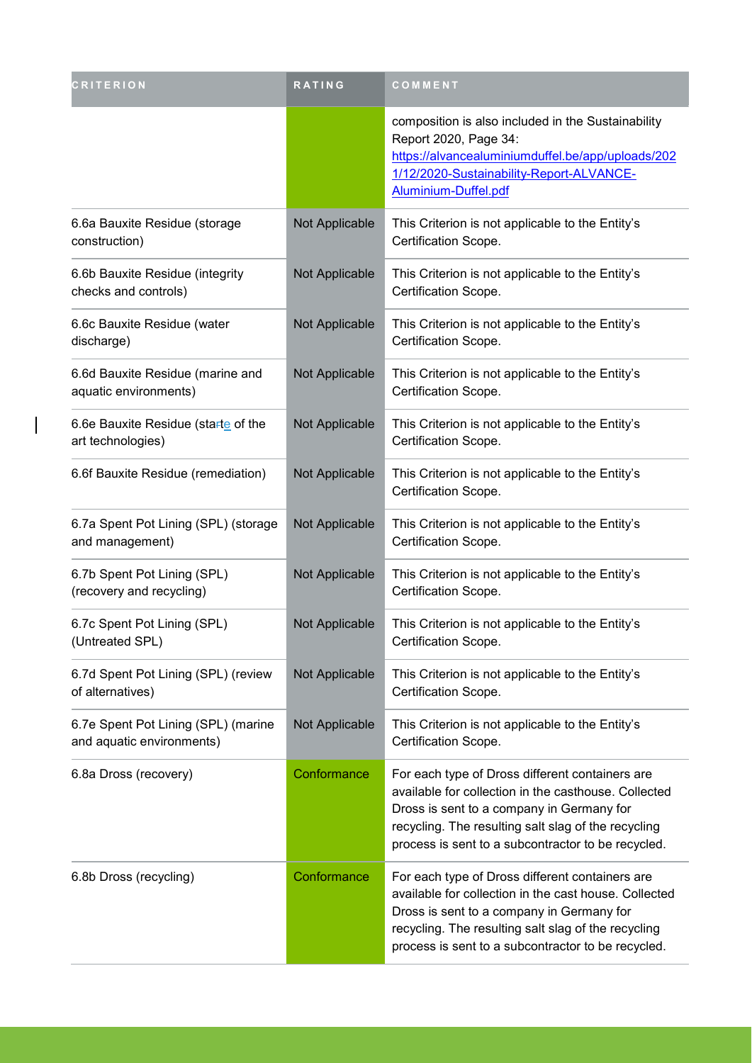| <b>CRITERION</b>                                                 | RATING         | COMMENT                                                                                                                                                                                                                                                            |
|------------------------------------------------------------------|----------------|--------------------------------------------------------------------------------------------------------------------------------------------------------------------------------------------------------------------------------------------------------------------|
|                                                                  |                | composition is also included in the Sustainability<br>Report 2020, Page 34:<br>https://alvancealuminiumduffel.be/app/uploads/202<br>1/12/2020-Sustainability-Report-ALVANCE-<br>Aluminium-Duffel.pdf                                                               |
| 6.6a Bauxite Residue (storage<br>construction)                   | Not Applicable | This Criterion is not applicable to the Entity's<br>Certification Scope.                                                                                                                                                                                           |
| 6.6b Bauxite Residue (integrity<br>checks and controls)          | Not Applicable | This Criterion is not applicable to the Entity's<br>Certification Scope.                                                                                                                                                                                           |
| 6.6c Bauxite Residue (water<br>discharge)                        | Not Applicable | This Criterion is not applicable to the Entity's<br>Certification Scope.                                                                                                                                                                                           |
| 6.6d Bauxite Residue (marine and<br>aquatic environments)        | Not Applicable | This Criterion is not applicable to the Entity's<br>Certification Scope.                                                                                                                                                                                           |
| 6.6e Bauxite Residue (starte of the<br>art technologies)         | Not Applicable | This Criterion is not applicable to the Entity's<br>Certification Scope.                                                                                                                                                                                           |
| 6.6f Bauxite Residue (remediation)                               | Not Applicable | This Criterion is not applicable to the Entity's<br>Certification Scope.                                                                                                                                                                                           |
| 6.7a Spent Pot Lining (SPL) (storage<br>and management)          | Not Applicable | This Criterion is not applicable to the Entity's<br>Certification Scope.                                                                                                                                                                                           |
| 6.7b Spent Pot Lining (SPL)<br>(recovery and recycling)          | Not Applicable | This Criterion is not applicable to the Entity's<br>Certification Scope.                                                                                                                                                                                           |
| 6.7c Spent Pot Lining (SPL)<br>(Untreated SPL)                   | Not Applicable | This Criterion is not applicable to the Entity's<br>Certification Scope.                                                                                                                                                                                           |
| 6.7d Spent Pot Lining (SPL) (review<br>of alternatives)          | Not Applicable | This Criterion is not applicable to the Entity's<br>Certification Scope.                                                                                                                                                                                           |
| 6.7e Spent Pot Lining (SPL) (marine<br>and aquatic environments) | Not Applicable | This Criterion is not applicable to the Entity's<br>Certification Scope.                                                                                                                                                                                           |
| 6.8a Dross (recovery)                                            | Conformance    | For each type of Dross different containers are<br>available for collection in the casthouse. Collected<br>Dross is sent to a company in Germany for<br>recycling. The resulting salt slag of the recycling<br>process is sent to a subcontractor to be recycled.  |
| 6.8b Dross (recycling)                                           | Conformance    | For each type of Dross different containers are<br>available for collection in the cast house. Collected<br>Dross is sent to a company in Germany for<br>recycling. The resulting salt slag of the recycling<br>process is sent to a subcontractor to be recycled. |

 $\overline{\phantom{a}}$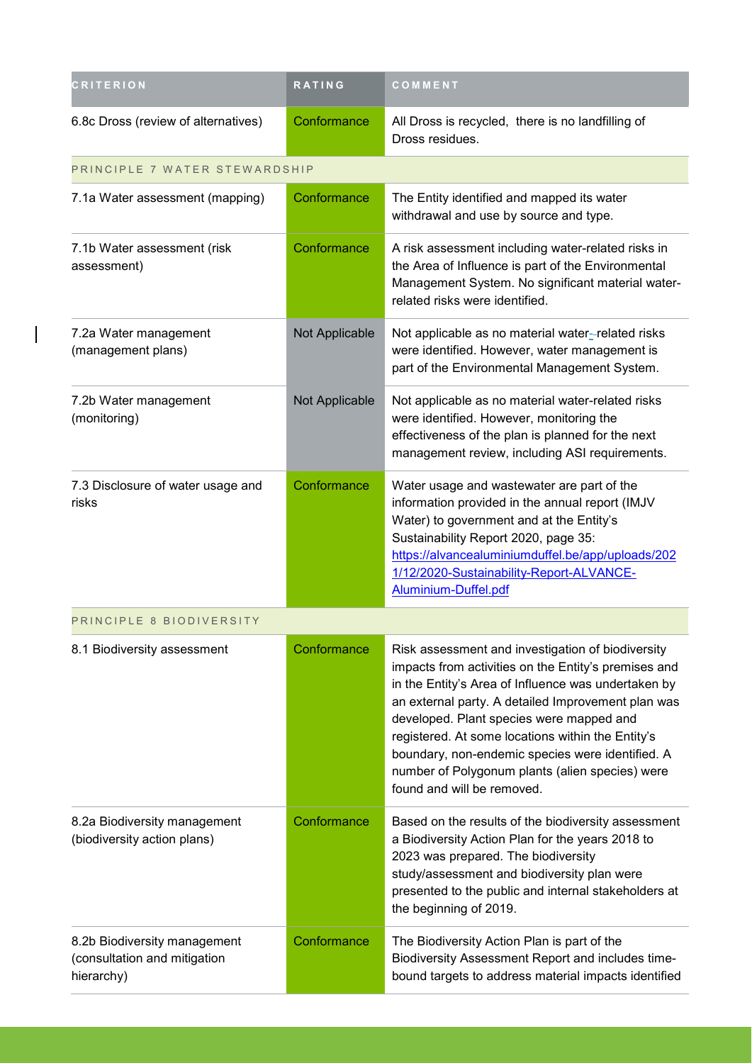| <b>CRITERION</b>                                                           | RATING         | COMMENT                                                                                                                                                                                                                                                                                                                                                                                                                                                      |
|----------------------------------------------------------------------------|----------------|--------------------------------------------------------------------------------------------------------------------------------------------------------------------------------------------------------------------------------------------------------------------------------------------------------------------------------------------------------------------------------------------------------------------------------------------------------------|
| 6.8c Dross (review of alternatives)                                        | Conformance    | All Dross is recycled, there is no landfilling of<br>Dross residues.                                                                                                                                                                                                                                                                                                                                                                                         |
| PRINCIPLE 7 WATER STEWARDSHIP                                              |                |                                                                                                                                                                                                                                                                                                                                                                                                                                                              |
| 7.1a Water assessment (mapping)                                            | Conformance    | The Entity identified and mapped its water<br>withdrawal and use by source and type.                                                                                                                                                                                                                                                                                                                                                                         |
| 7.1b Water assessment (risk<br>assessment)                                 | Conformance    | A risk assessment including water-related risks in<br>the Area of Influence is part of the Environmental<br>Management System. No significant material water-<br>related risks were identified.                                                                                                                                                                                                                                                              |
| 7.2a Water management<br>(management plans)                                | Not Applicable | Not applicable as no material water-related risks<br>were identified. However, water management is<br>part of the Environmental Management System.                                                                                                                                                                                                                                                                                                           |
| 7.2b Water management<br>(monitoring)                                      | Not Applicable | Not applicable as no material water-related risks<br>were identified. However, monitoring the<br>effectiveness of the plan is planned for the next<br>management review, including ASI requirements.                                                                                                                                                                                                                                                         |
| 7.3 Disclosure of water usage and<br>risks                                 | Conformance    | Water usage and wastewater are part of the<br>information provided in the annual report (IMJV<br>Water) to government and at the Entity's<br>Sustainability Report 2020, page 35:<br>https://alvancealuminiumduffel.be/app/uploads/202<br>1/12/2020-Sustainability-Report-ALVANCE-<br>Aluminium-Duffel.pdf                                                                                                                                                   |
| PRINCIPLE 8 BIODIVERSITY                                                   |                |                                                                                                                                                                                                                                                                                                                                                                                                                                                              |
| 8.1 Biodiversity assessment                                                | Conformance    | Risk assessment and investigation of biodiversity<br>impacts from activities on the Entity's premises and<br>in the Entity's Area of Influence was undertaken by<br>an external party. A detailed Improvement plan was<br>developed. Plant species were mapped and<br>registered. At some locations within the Entity's<br>boundary, non-endemic species were identified. A<br>number of Polygonum plants (alien species) were<br>found and will be removed. |
| 8.2a Biodiversity management<br>(biodiversity action plans)                | Conformance    | Based on the results of the biodiversity assessment<br>a Biodiversity Action Plan for the years 2018 to<br>2023 was prepared. The biodiversity<br>study/assessment and biodiversity plan were<br>presented to the public and internal stakeholders at<br>the beginning of 2019.                                                                                                                                                                              |
| 8.2b Biodiversity management<br>(consultation and mitigation<br>hierarchy) | Conformance    | The Biodiversity Action Plan is part of the<br>Biodiversity Assessment Report and includes time-<br>bound targets to address material impacts identified                                                                                                                                                                                                                                                                                                     |

 $\overline{\phantom{a}}$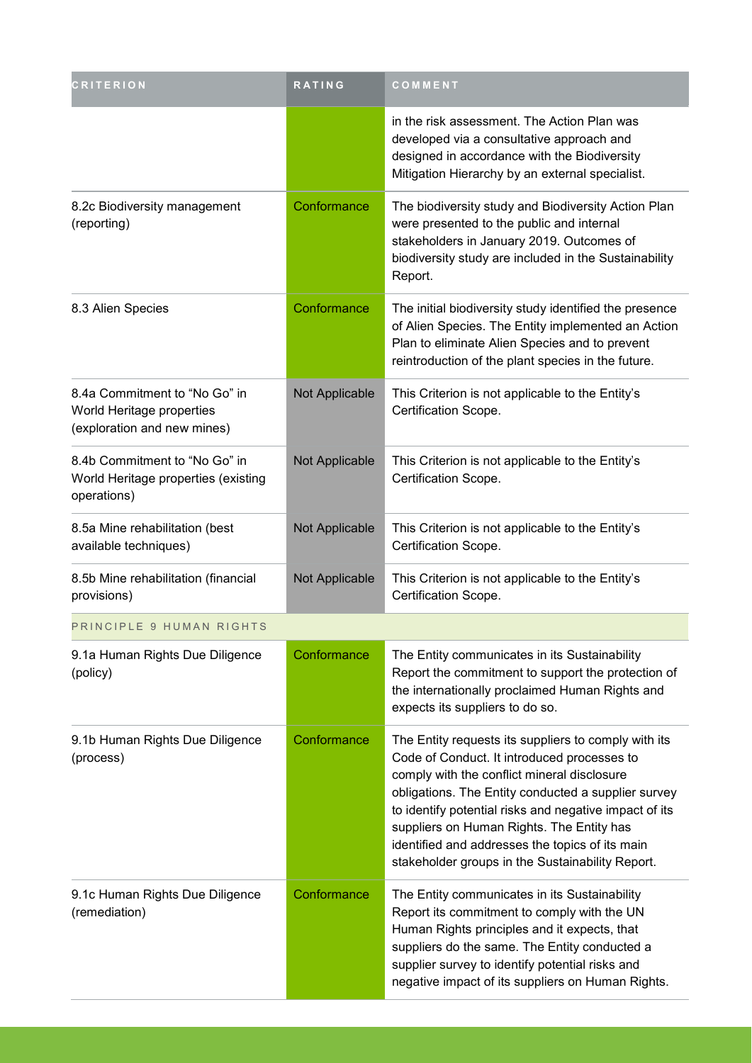| <b>CRITERION</b>                                                                          | <b>RATING</b>  | COMMENT                                                                                                                                                                                                                                                                                                                                                                                                                 |
|-------------------------------------------------------------------------------------------|----------------|-------------------------------------------------------------------------------------------------------------------------------------------------------------------------------------------------------------------------------------------------------------------------------------------------------------------------------------------------------------------------------------------------------------------------|
|                                                                                           |                | in the risk assessment. The Action Plan was<br>developed via a consultative approach and<br>designed in accordance with the Biodiversity<br>Mitigation Hierarchy by an external specialist.                                                                                                                                                                                                                             |
| 8.2c Biodiversity management<br>(reporting)                                               | Conformance    | The biodiversity study and Biodiversity Action Plan<br>were presented to the public and internal<br>stakeholders in January 2019. Outcomes of<br>biodiversity study are included in the Sustainability<br>Report.                                                                                                                                                                                                       |
| 8.3 Alien Species                                                                         | Conformance    | The initial biodiversity study identified the presence<br>of Alien Species. The Entity implemented an Action<br>Plan to eliminate Alien Species and to prevent<br>reintroduction of the plant species in the future.                                                                                                                                                                                                    |
| 8.4a Commitment to "No Go" in<br>World Heritage properties<br>(exploration and new mines) | Not Applicable | This Criterion is not applicable to the Entity's<br>Certification Scope.                                                                                                                                                                                                                                                                                                                                                |
| 8.4b Commitment to "No Go" in<br>World Heritage properties (existing<br>operations)       | Not Applicable | This Criterion is not applicable to the Entity's<br>Certification Scope.                                                                                                                                                                                                                                                                                                                                                |
| 8.5a Mine rehabilitation (best<br>available techniques)                                   | Not Applicable | This Criterion is not applicable to the Entity's<br>Certification Scope.                                                                                                                                                                                                                                                                                                                                                |
| 8.5b Mine rehabilitation (financial<br>provisions)                                        | Not Applicable | This Criterion is not applicable to the Entity's<br>Certification Scope.                                                                                                                                                                                                                                                                                                                                                |
| PRINCIPLE 9 HUMAN RIGHTS                                                                  |                |                                                                                                                                                                                                                                                                                                                                                                                                                         |
| 9.1a Human Rights Due Diligence<br>(policy)                                               | Conformance    | The Entity communicates in its Sustainability<br>Report the commitment to support the protection of<br>the internationally proclaimed Human Rights and<br>expects its suppliers to do so.                                                                                                                                                                                                                               |
| 9.1b Human Rights Due Diligence<br>(process)                                              | Conformance    | The Entity requests its suppliers to comply with its<br>Code of Conduct. It introduced processes to<br>comply with the conflict mineral disclosure<br>obligations. The Entity conducted a supplier survey<br>to identify potential risks and negative impact of its<br>suppliers on Human Rights. The Entity has<br>identified and addresses the topics of its main<br>stakeholder groups in the Sustainability Report. |
| 9.1c Human Rights Due Diligence<br>(remediation)                                          | Conformance    | The Entity communicates in its Sustainability<br>Report its commitment to comply with the UN<br>Human Rights principles and it expects, that<br>suppliers do the same. The Entity conducted a<br>supplier survey to identify potential risks and<br>negative impact of its suppliers on Human Rights.                                                                                                                   |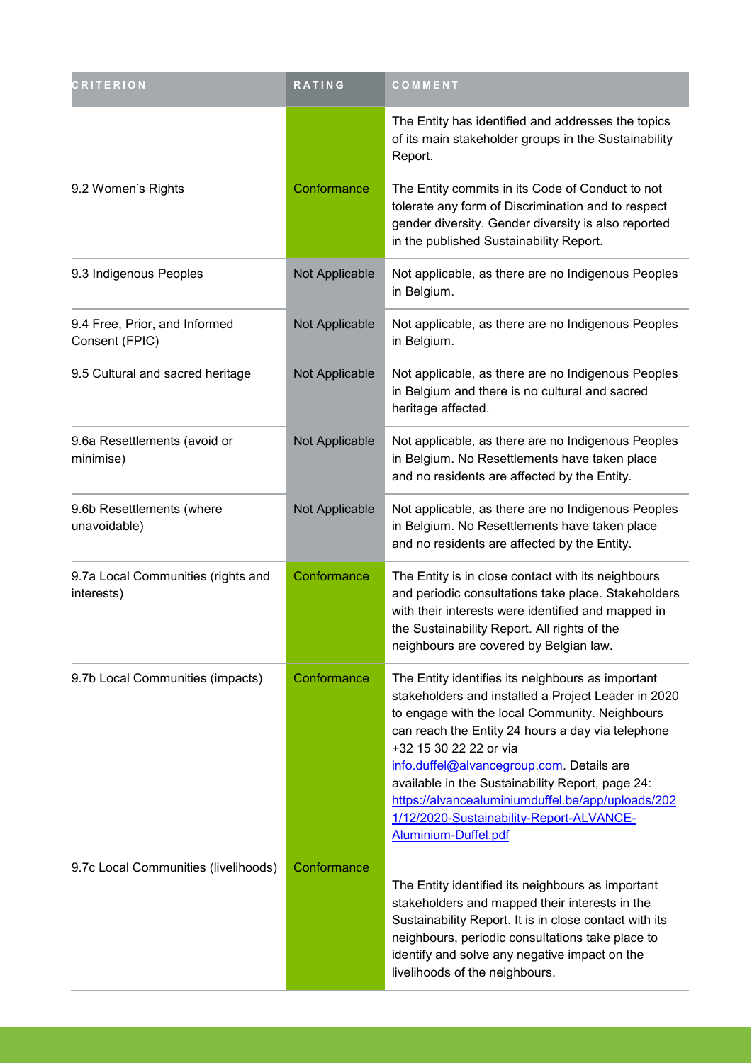| <b>CRITERION</b>                                 | RATING         | COMMENT                                                                                                                                                                                                                                                                                                                                                                                                                                                             |
|--------------------------------------------------|----------------|---------------------------------------------------------------------------------------------------------------------------------------------------------------------------------------------------------------------------------------------------------------------------------------------------------------------------------------------------------------------------------------------------------------------------------------------------------------------|
|                                                  |                | The Entity has identified and addresses the topics<br>of its main stakeholder groups in the Sustainability<br>Report.                                                                                                                                                                                                                                                                                                                                               |
| 9.2 Women's Rights                               | Conformance    | The Entity commits in its Code of Conduct to not<br>tolerate any form of Discrimination and to respect<br>gender diversity. Gender diversity is also reported<br>in the published Sustainability Report.                                                                                                                                                                                                                                                            |
| 9.3 Indigenous Peoples                           | Not Applicable | Not applicable, as there are no Indigenous Peoples<br>in Belgium.                                                                                                                                                                                                                                                                                                                                                                                                   |
| 9.4 Free, Prior, and Informed<br>Consent (FPIC)  | Not Applicable | Not applicable, as there are no Indigenous Peoples<br>in Belgium.                                                                                                                                                                                                                                                                                                                                                                                                   |
| 9.5 Cultural and sacred heritage                 | Not Applicable | Not applicable, as there are no Indigenous Peoples<br>in Belgium and there is no cultural and sacred<br>heritage affected.                                                                                                                                                                                                                                                                                                                                          |
| 9.6a Resettlements (avoid or<br>minimise)        | Not Applicable | Not applicable, as there are no Indigenous Peoples<br>in Belgium. No Resettlements have taken place<br>and no residents are affected by the Entity.                                                                                                                                                                                                                                                                                                                 |
| 9.6b Resettlements (where<br>unavoidable)        | Not Applicable | Not applicable, as there are no Indigenous Peoples<br>in Belgium. No Resettlements have taken place<br>and no residents are affected by the Entity.                                                                                                                                                                                                                                                                                                                 |
| 9.7a Local Communities (rights and<br>interests) | Conformance    | The Entity is in close contact with its neighbours<br>and periodic consultations take place. Stakeholders<br>with their interests were identified and mapped in<br>the Sustainability Report. All rights of the<br>neighbours are covered by Belgian law.                                                                                                                                                                                                           |
| 9.7b Local Communities (impacts)                 | Conformance    | The Entity identifies its neighbours as important<br>stakeholders and installed a Project Leader in 2020<br>to engage with the local Community. Neighbours<br>can reach the Entity 24 hours a day via telephone<br>+32 15 30 22 22 or via<br>info.duffel@alvancegroup.com. Details are<br>available in the Sustainability Report, page 24:<br>https://alvancealuminiumduffel.be/app/uploads/202<br>1/12/2020-Sustainability-Report-ALVANCE-<br>Aluminium-Duffel.pdf |
| 9.7c Local Communities (livelihoods)             | Conformance    | The Entity identified its neighbours as important<br>stakeholders and mapped their interests in the<br>Sustainability Report. It is in close contact with its<br>neighbours, periodic consultations take place to<br>identify and solve any negative impact on the<br>livelihoods of the neighbours.                                                                                                                                                                |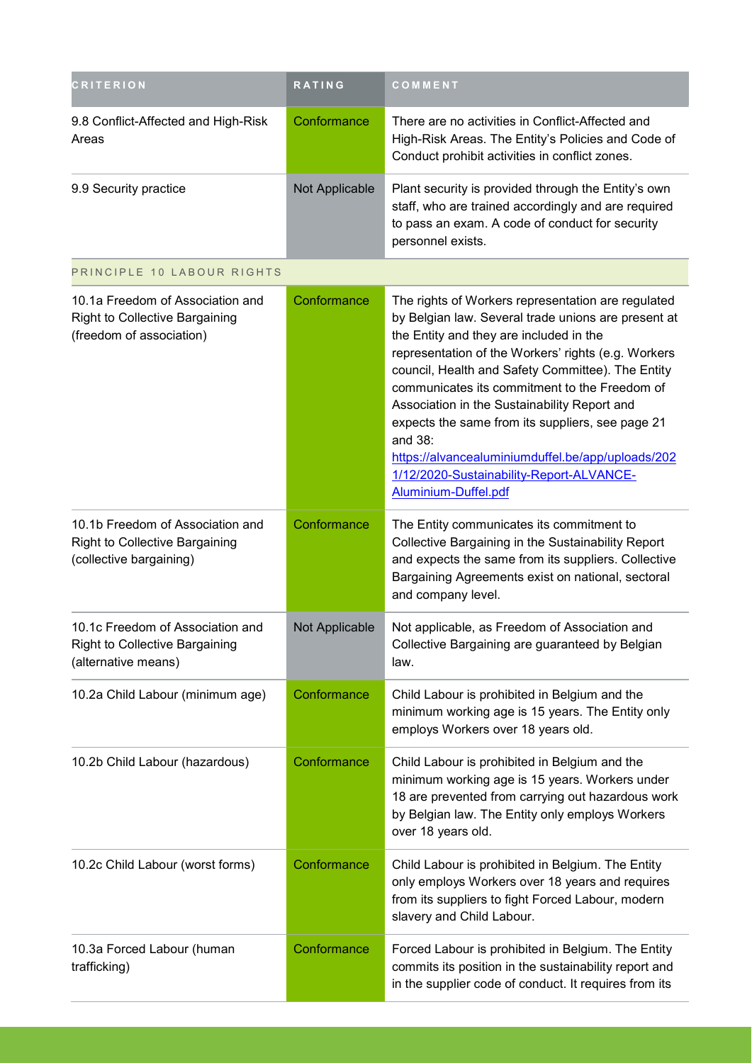| <b>CRITERION</b>                                                                                      | RATING         | COMMENT                                                                                                                                                                                                                                                                                                                                                                                                                                                                                                                                                   |
|-------------------------------------------------------------------------------------------------------|----------------|-----------------------------------------------------------------------------------------------------------------------------------------------------------------------------------------------------------------------------------------------------------------------------------------------------------------------------------------------------------------------------------------------------------------------------------------------------------------------------------------------------------------------------------------------------------|
| 9.8 Conflict-Affected and High-Risk<br>Areas                                                          | Conformance    | There are no activities in Conflict-Affected and<br>High-Risk Areas. The Entity's Policies and Code of<br>Conduct prohibit activities in conflict zones.                                                                                                                                                                                                                                                                                                                                                                                                  |
| 9.9 Security practice                                                                                 | Not Applicable | Plant security is provided through the Entity's own<br>staff, who are trained accordingly and are required<br>to pass an exam. A code of conduct for security<br>personnel exists.                                                                                                                                                                                                                                                                                                                                                                        |
| PRINCIPLE 10 LABOUR RIGHTS                                                                            |                |                                                                                                                                                                                                                                                                                                                                                                                                                                                                                                                                                           |
| 10.1a Freedom of Association and<br><b>Right to Collective Bargaining</b><br>(freedom of association) | Conformance    | The rights of Workers representation are regulated<br>by Belgian law. Several trade unions are present at<br>the Entity and they are included in the<br>representation of the Workers' rights (e.g. Workers<br>council, Health and Safety Committee). The Entity<br>communicates its commitment to the Freedom of<br>Association in the Sustainability Report and<br>expects the same from its suppliers, see page 21<br>and 38:<br>https://alvancealuminiumduffel.be/app/uploads/202<br>1/12/2020-Sustainability-Report-ALVANCE-<br>Aluminium-Duffel.pdf |
| 10.1b Freedom of Association and<br><b>Right to Collective Bargaining</b><br>(collective bargaining)  | Conformance    | The Entity communicates its commitment to<br>Collective Bargaining in the Sustainability Report<br>and expects the same from its suppliers. Collective<br>Bargaining Agreements exist on national, sectoral<br>and company level.                                                                                                                                                                                                                                                                                                                         |
| 10.1c Freedom of Association and<br><b>Right to Collective Bargaining</b><br>(alternative means)      | Not Applicable | Not applicable, as Freedom of Association and<br>Collective Bargaining are guaranteed by Belgian<br>law.                                                                                                                                                                                                                                                                                                                                                                                                                                                  |
| 10.2a Child Labour (minimum age)                                                                      | Conformance    | Child Labour is prohibited in Belgium and the<br>minimum working age is 15 years. The Entity only<br>employs Workers over 18 years old.                                                                                                                                                                                                                                                                                                                                                                                                                   |
| 10.2b Child Labour (hazardous)                                                                        | Conformance    | Child Labour is prohibited in Belgium and the<br>minimum working age is 15 years. Workers under<br>18 are prevented from carrying out hazardous work<br>by Belgian law. The Entity only employs Workers<br>over 18 years old.                                                                                                                                                                                                                                                                                                                             |
| 10.2c Child Labour (worst forms)                                                                      | Conformance    | Child Labour is prohibited in Belgium. The Entity<br>only employs Workers over 18 years and requires<br>from its suppliers to fight Forced Labour, modern<br>slavery and Child Labour.                                                                                                                                                                                                                                                                                                                                                                    |
| 10.3a Forced Labour (human<br>trafficking)                                                            | Conformance    | Forced Labour is prohibited in Belgium. The Entity<br>commits its position in the sustainability report and<br>in the supplier code of conduct. It requires from its                                                                                                                                                                                                                                                                                                                                                                                      |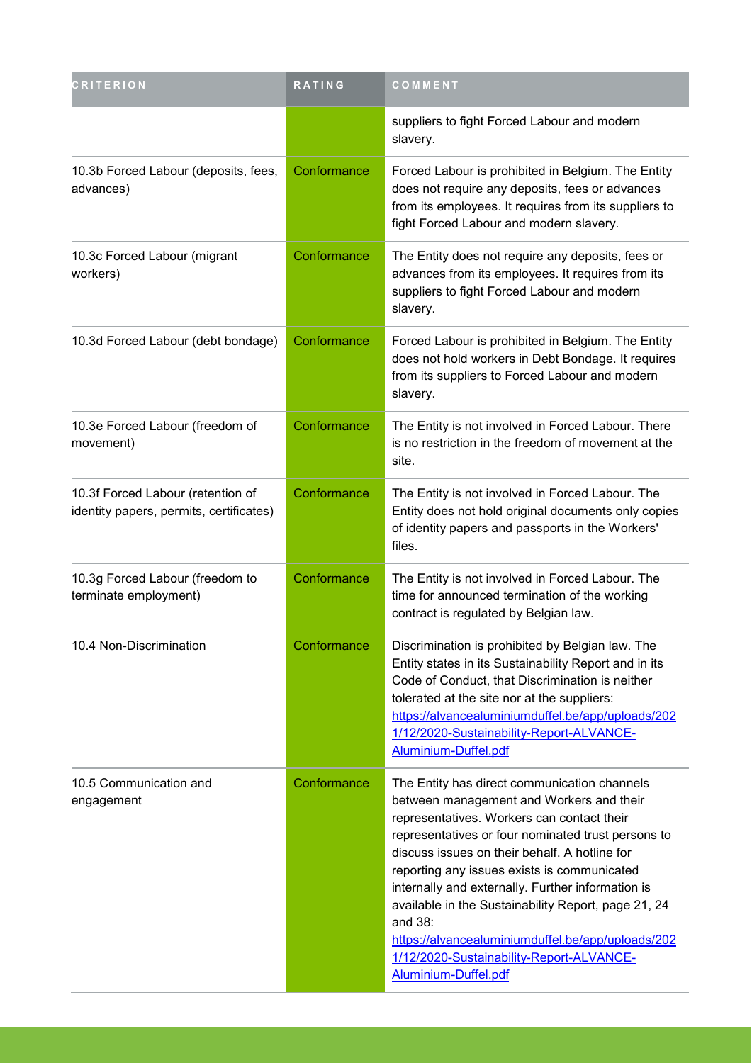| <b>CRITERION</b>                                                             | <b>RATING</b> | COMMENT                                                                                                                                                                                                                                                                                                                                                                                                                                                                                                                                      |
|------------------------------------------------------------------------------|---------------|----------------------------------------------------------------------------------------------------------------------------------------------------------------------------------------------------------------------------------------------------------------------------------------------------------------------------------------------------------------------------------------------------------------------------------------------------------------------------------------------------------------------------------------------|
|                                                                              |               | suppliers to fight Forced Labour and modern<br>slavery.                                                                                                                                                                                                                                                                                                                                                                                                                                                                                      |
| 10.3b Forced Labour (deposits, fees,<br>advances)                            | Conformance   | Forced Labour is prohibited in Belgium. The Entity<br>does not require any deposits, fees or advances<br>from its employees. It requires from its suppliers to<br>fight Forced Labour and modern slavery.                                                                                                                                                                                                                                                                                                                                    |
| 10.3c Forced Labour (migrant<br>workers)                                     | Conformance   | The Entity does not require any deposits, fees or<br>advances from its employees. It requires from its<br>suppliers to fight Forced Labour and modern<br>slavery.                                                                                                                                                                                                                                                                                                                                                                            |
| 10.3d Forced Labour (debt bondage)                                           | Conformance   | Forced Labour is prohibited in Belgium. The Entity<br>does not hold workers in Debt Bondage. It requires<br>from its suppliers to Forced Labour and modern<br>slavery.                                                                                                                                                                                                                                                                                                                                                                       |
| 10.3e Forced Labour (freedom of<br>movement)                                 | Conformance   | The Entity is not involved in Forced Labour. There<br>is no restriction in the freedom of movement at the<br>site.                                                                                                                                                                                                                                                                                                                                                                                                                           |
| 10.3f Forced Labour (retention of<br>identity papers, permits, certificates) | Conformance   | The Entity is not involved in Forced Labour. The<br>Entity does not hold original documents only copies<br>of identity papers and passports in the Workers'<br>files.                                                                                                                                                                                                                                                                                                                                                                        |
| 10.3g Forced Labour (freedom to<br>terminate employment)                     | Conformance   | The Entity is not involved in Forced Labour. The<br>time for announced termination of the working<br>contract is regulated by Belgian law.                                                                                                                                                                                                                                                                                                                                                                                                   |
| 10.4 Non-Discrimination                                                      | Conformance   | Discrimination is prohibited by Belgian law. The<br>Entity states in its Sustainability Report and in its<br>Code of Conduct, that Discrimination is neither<br>tolerated at the site nor at the suppliers:<br>https://alvancealuminiumduffel.be/app/uploads/202<br>1/12/2020-Sustainability-Report-ALVANCE-<br>Aluminium-Duffel.pdf                                                                                                                                                                                                         |
| 10.5 Communication and<br>engagement                                         | Conformance   | The Entity has direct communication channels<br>between management and Workers and their<br>representatives. Workers can contact their<br>representatives or four nominated trust persons to<br>discuss issues on their behalf. A hotline for<br>reporting any issues exists is communicated<br>internally and externally. Further information is<br>available in the Sustainability Report, page 21, 24<br>and 38:<br>https://alvancealuminiumduffel.be/app/uploads/202<br>1/12/2020-Sustainability-Report-ALVANCE-<br>Aluminium-Duffel.pdf |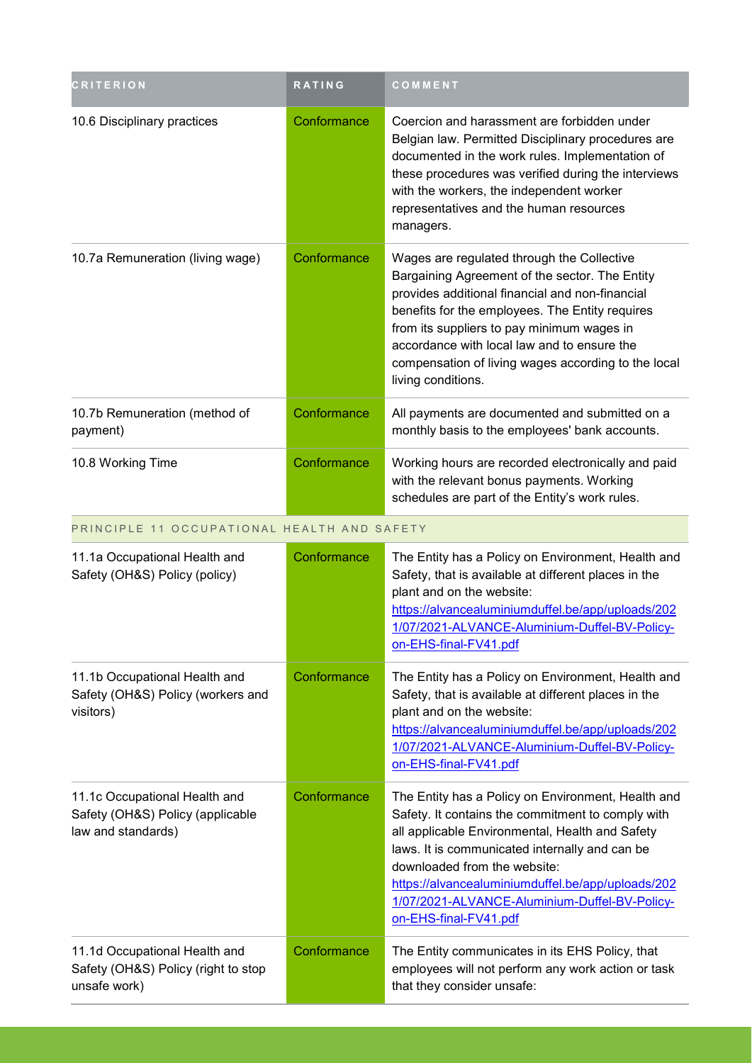| <b>CRITERION</b>                                                                        | <b>RATING</b> | COMMENT                                                                                                                                                                                                                                                                                                                                                                      |
|-----------------------------------------------------------------------------------------|---------------|------------------------------------------------------------------------------------------------------------------------------------------------------------------------------------------------------------------------------------------------------------------------------------------------------------------------------------------------------------------------------|
| 10.6 Disciplinary practices                                                             | Conformance   | Coercion and harassment are forbidden under<br>Belgian law. Permitted Disciplinary procedures are<br>documented in the work rules. Implementation of<br>these procedures was verified during the interviews<br>with the workers, the independent worker<br>representatives and the human resources<br>managers.                                                              |
| 10.7a Remuneration (living wage)                                                        | Conformance   | Wages are regulated through the Collective<br>Bargaining Agreement of the sector. The Entity<br>provides additional financial and non-financial<br>benefits for the employees. The Entity requires<br>from its suppliers to pay minimum wages in<br>accordance with local law and to ensure the<br>compensation of living wages according to the local<br>living conditions. |
| 10.7b Remuneration (method of<br>payment)                                               | Conformance   | All payments are documented and submitted on a<br>monthly basis to the employees' bank accounts.                                                                                                                                                                                                                                                                             |
| 10.8 Working Time                                                                       | Conformance   | Working hours are recorded electronically and paid<br>with the relevant bonus payments. Working<br>schedules are part of the Entity's work rules.                                                                                                                                                                                                                            |
| PRINCIPLE 11 OCCUPATIONAL HEALTH AND SAFETY                                             |               |                                                                                                                                                                                                                                                                                                                                                                              |
| 11.1a Occupational Health and<br>Safety (OH&S) Policy (policy)                          | Conformance   | The Entity has a Policy on Environment, Health and<br>Safety, that is available at different places in the<br>plant and on the website:<br>https://alvancealuminiumduffel.be/app/uploads/202<br>1/07/2021-ALVANCE-Aluminium-Duffel-BV-Policy-<br>on-EHS-final-FV41.pdf                                                                                                       |
| 11.1b Occupational Health and<br>Safety (OH&S) Policy (workers and<br>visitors)         | Conformance   | The Entity has a Policy on Environment, Health and<br>Safety, that is available at different places in the<br>plant and on the website:<br>https://alvancealuminiumduffel.be/app/uploads/202<br>1/07/2021-ALVANCE-Aluminium-Duffel-BV-Policy-<br>on-EHS-final-FV41.pdf                                                                                                       |
| 11.1c Occupational Health and<br>Safety (OH&S) Policy (applicable<br>law and standards) | Conformance   | The Entity has a Policy on Environment, Health and<br>Safety. It contains the commitment to comply with<br>all applicable Environmental, Health and Safety<br>laws. It is communicated internally and can be<br>downloaded from the website:<br>https://alvancealuminiumduffel.be/app/uploads/202<br>1/07/2021-ALVANCE-Aluminium-Duffel-BV-Policy-<br>on-EHS-final-FV41.pdf  |
| 11.1d Occupational Health and<br>Safety (OH&S) Policy (right to stop<br>unsafe work)    | Conformance   | The Entity communicates in its EHS Policy, that<br>employees will not perform any work action or task<br>that they consider unsafe:                                                                                                                                                                                                                                          |